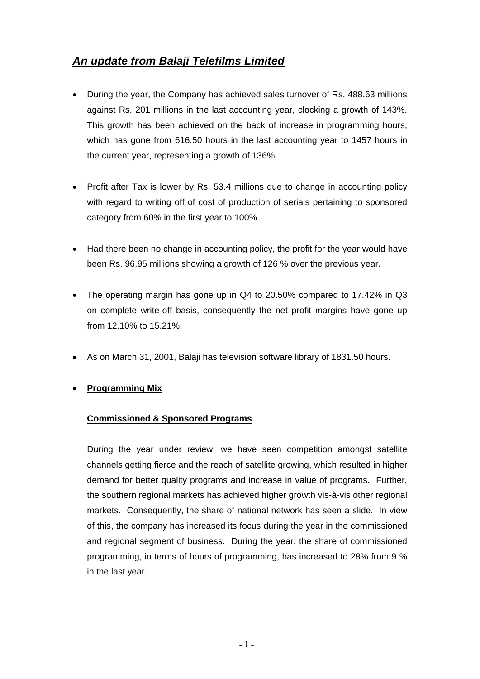# *An update from Balaji Telefilms Limited*

- During the year, the Company has achieved sales turnover of Rs. 488.63 millions against Rs. 201 millions in the last accounting year, clocking a growth of 143%. This growth has been achieved on the back of increase in programming hours, which has gone from 616.50 hours in the last accounting year to 1457 hours in the current year, representing a growth of 136%.
- Profit after Tax is lower by Rs. 53.4 millions due to change in accounting policy with regard to writing off of cost of production of serials pertaining to sponsored category from 60% in the first year to 100%.
- Had there been no change in accounting policy, the profit for the year would have been Rs. 96.95 millions showing a growth of 126 % over the previous year.
- The operating margin has gone up in Q4 to 20.50% compared to 17.42% in Q3 on complete write-off basis, consequently the net profit margins have gone up from 12.10% to 15.21%.
- As on March 31, 2001, Balaji has television software library of 1831.50 hours.

### • **Programming Mix**

### **Commissioned & Sponsored Programs**

During the year under review, we have seen competition amongst satellite channels getting fierce and the reach of satellite growing, which resulted in higher demand for better quality programs and increase in value of programs. Further, the southern regional markets has achieved higher growth vis-à-vis other regional markets. Consequently, the share of national network has seen a slide. In view of this, the company has increased its focus during the year in the commissioned and regional segment of business. During the year, the share of commissioned programming, in terms of hours of programming, has increased to 28% from 9 % in the last year.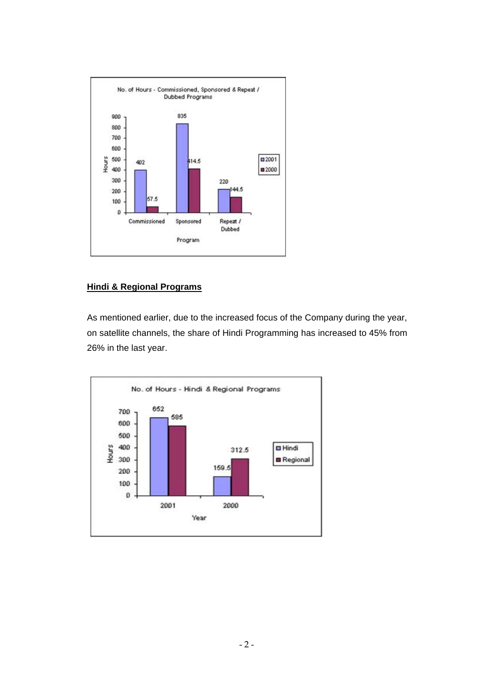

### **Hindi & Regional Programs**

As mentioned earlier, due to the increased focus of the Company during the year, on satellite channels, the share of Hindi Programming has increased to 45% from 26% in the last year.

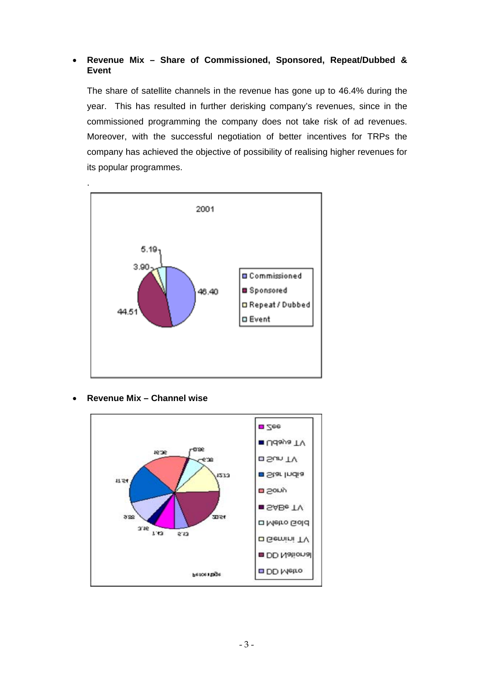### • **Revenue Mix – Share of Commissioned, Sponsored, Repeat/Dubbed & Event**

The share of satellite channels in the revenue has gone up to 46.4% during the year. This has resulted in further derisking company's revenues, since in the commissioned programming the company does not take risk of ad revenues. Moreover, with the successful negotiation of better incentives for TRPs the company has achieved the objective of possibility of realising higher revenues for its popular programmes.



• **Revenue Mix – Channel wise** 

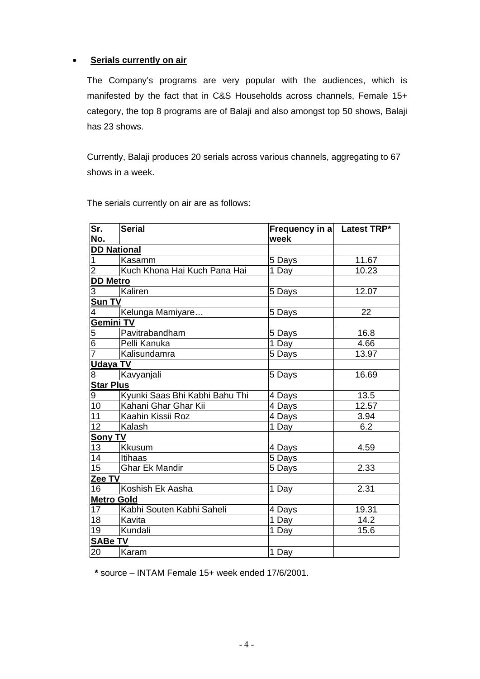### • **Serials currently on air**

The Company's programs are very popular with the audiences, which is manifested by the fact that in C&S Households across channels, Female 15+ category, the top 8 programs are of Balaji and also amongst top 50 shows, Balaji has 23 shows.

Currently, Balaji produces 20 serials across various channels, aggregating to 67 shows in a week.

The serials currently on air are as follows:

| Sr.                | <b>Serial</b>                  | Frequency in a Latest TRP* |       |
|--------------------|--------------------------------|----------------------------|-------|
| No.                |                                | week                       |       |
| <b>DD National</b> |                                |                            |       |
| 1                  | Kasamm                         | 5 Days                     | 11.67 |
| $\overline{2}$     | Kuch Khona Hai Kuch Pana Hai   | 1 Day                      | 10.23 |
| <b>DD Metro</b>    |                                |                            |       |
| 3                  | Kaliren                        | 5 Days                     | 12.07 |
| Sun TV             |                                |                            |       |
| 4                  | Kelunga Mamiyare               | 5 Days                     | 22    |
| Gemini TV          |                                |                            |       |
| 5                  | Pavitrabandham                 | 5 Days                     | 16.8  |
| $\overline{6}$     | Pelli Kanuka                   | 1 Day                      | 4.66  |
| $\overline{7}$     | Kalisundamra                   | 5 Days                     | 13.97 |
| <b>Udaya TV</b>    |                                |                            |       |
| 8                  | Kavyanjali                     | 5 Days                     | 16.69 |
| <b>Star Plus</b>   |                                |                            |       |
| 9                  | Kyunki Saas Bhi Kabhi Bahu Thi | 4 Days                     | 13.5  |
| 10                 | Kahani Ghar Ghar Kii           | 4 Days                     | 12.57 |
| 11                 | Kaahin Kissii Roz              | 4 Days                     | 3.94  |
| 12                 | Kalash                         | 1 Day                      | 6.2   |
| <b>Sony TV</b>     |                                |                            |       |
| 13                 | <b>Kkusum</b>                  | 4 Days                     | 4.59  |
| 14                 | Itihaas                        | 5 Days                     |       |
| 15                 | <b>Ghar Ek Mandir</b>          | 5 Days                     | 2.33  |
| Zee TV             |                                |                            |       |
| 16                 | Koshish Ek Aasha               | 1 Day                      | 2.31  |
| <b>Metro Gold</b>  |                                |                            |       |
| 17                 | Kabhi Souten Kabhi Saheli      | 4 Days                     | 19.31 |
| 18                 | Kavita                         | 1 Day                      | 14.2  |
| 19                 | Kundali                        | 1 Day                      | 15.6  |
| <b>SABe TV</b>     |                                |                            |       |
| 20                 | Karam                          | 1 Day                      |       |

 **\*** source – INTAM Female 15+ week ended 17/6/2001.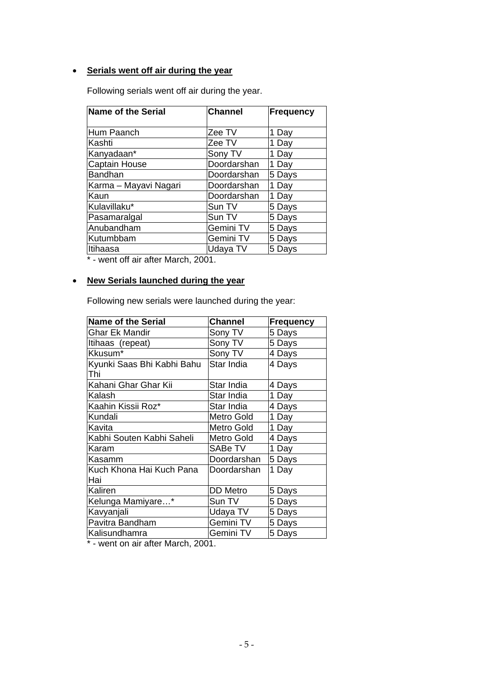### • **Serials went off air during the year**

Following serials went off air during the year.

| <b>Name of the Serial</b> | <b>Channel</b> | <b>Frequency</b> |
|---------------------------|----------------|------------------|
| Hum Paanch                | Zee TV         | 1 Day            |
| Kashti                    | Zee TV         | 1 Day            |
| Kanyadaan*                | Sony TV        | 1 Day            |
| Captain House             | Doordarshan    | 1 Day            |
| <b>Bandhan</b>            | Doordarshan    | 5 Days           |
| Karma - Mayavi Nagari     | Doordarshan    | 1 Day            |
| Kaun                      | Doordarshan    | 1 Day            |
| Kulavillaku*              | Sun TV         | 5 Days           |
| Pasamaralgal              | Sun TV         | 5 Days           |
| Anubandham                | Gemini TV      | 5 Days           |
| Kutumbbam                 | Gemini TV      | 5 Days           |
| Itihaasa                  | Udaya TV       | 5 Days           |

\* - went off air after March, 2001.

## • **New Serials launched during the year**

Following new serials were launched during the year:

| <b>Name of the Serial</b>  | <b>Channel</b>  | <b>Frequency</b> |
|----------------------------|-----------------|------------------|
| Ghar Ek Mandir             | Sony TV         | 5 Days           |
| Itihaas (repeat)           | Sony TV         | 5 Days           |
| Kkusum*                    | Sony TV         | 4 Days           |
| Kyunki Saas Bhi Kabhi Bahu | Star India      | 4 Days           |
| Thi                        |                 |                  |
| Kahani Ghar Ghar Kii       | Star India      | 4 Days           |
| Kalash                     | Star India      | 1 Day            |
| Kaahin Kissii Roz*         | Star India      | 4 Days           |
| Kundali                    | Metro Gold      | 1 Day            |
| Kavita                     | Metro Gold      | 1 Day            |
| Kabhi Souten Kabhi Saheli  | Metro Gold      | 4 Days           |
| Karam                      | SABe TV         | 1 Day            |
| Kasamm                     | Doordarshan     | 5 Days           |
| Kuch Khona Hai Kuch Pana   | Doordarshan     | 1 Day            |
| Hai                        |                 |                  |
| Kaliren                    | <b>DD</b> Metro | 5 Days           |
| Kelunga Mamiyare*          | Sun TV          | 5 Days           |
| Kavyanjali                 | Udaya TV        | 5 Days           |
| Pavitra Bandham            | Gemini TV       | 5 Days           |
| Kalisundhamra              | Gemini TV       | 5 Days           |

\* - went on air after March, 2001.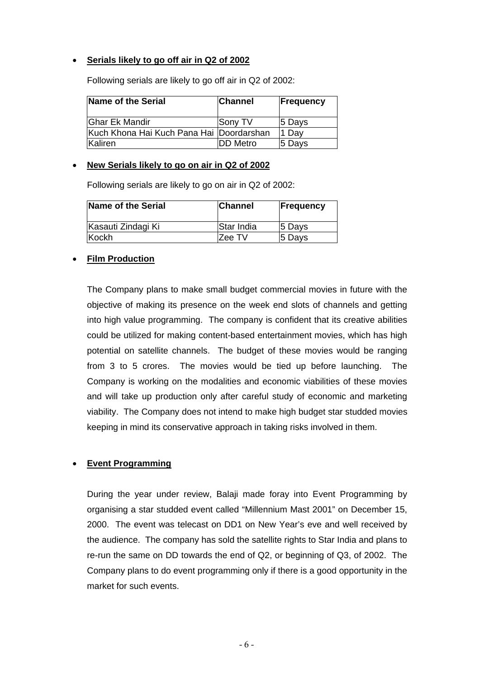### • **Serials likely to go off air in Q2 of 2002**

| Name of the Serial                       | <b>Channel</b>  | Frequency |
|------------------------------------------|-----------------|-----------|
| Ghar Ek Mandir                           | Sony TV         | 5 Days    |
| Kuch Khona Hai Kuch Pana Hai Doordarshan |                 | 1 Dav     |
| lKaliren.                                | <b>DD Metro</b> | 5 Days    |

Following serials are likely to go off air in Q2 of 2002:

### • **New Serials likely to go on air in Q2 of 2002**

Following serials are likely to go on air in Q2 of 2002:

| Name of the Serial | <b>Channel</b> | <b>Frequency</b> |
|--------------------|----------------|------------------|
| Kasauti Zindagi Ki | Star India     | 5 Days           |
| Kockh              | Zee TV         | 5 Days           |

#### • **Film Production**

The Company plans to make small budget commercial movies in future with the objective of making its presence on the week end slots of channels and getting into high value programming. The company is confident that its creative abilities could be utilized for making content-based entertainment movies, which has high potential on satellite channels. The budget of these movies would be ranging from 3 to 5 crores. The movies would be tied up before launching. The Company is working on the modalities and economic viabilities of these movies and will take up production only after careful study of economic and marketing viability. The Company does not intend to make high budget star studded movies keeping in mind its conservative approach in taking risks involved in them.

### • **Event Programming**

During the year under review, Balaji made foray into Event Programming by organising a star studded event called "Millennium Mast 2001" on December 15, 2000. The event was telecast on DD1 on New Year's eve and well received by the audience. The company has sold the satellite rights to Star India and plans to re-run the same on DD towards the end of Q2, or beginning of Q3, of 2002. The Company plans to do event programming only if there is a good opportunity in the market for such events.